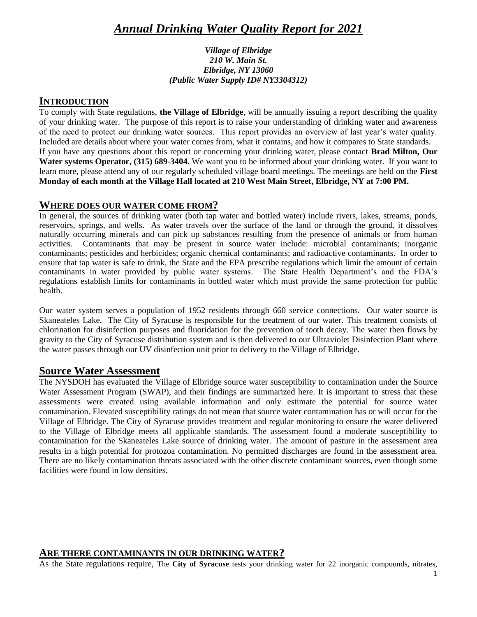# *Annual Drinking Water Quality Report for 2021*

#### *Village of Elbridge 210 W. Main St. Elbridge, NY 13060 (Public Water Supply ID# NY3304312)*

### **INTRODUCTION**

To comply with State regulations, **the Village of Elbridge**, will be annually issuing a report describing the quality of your drinking water. The purpose of this report is to raise your understanding of drinking water and awareness of the need to protect our drinking water sources. This report provides an overview of last year's water quality. Included are details about where your water comes from, what it contains, and how it compares to State standards. If you have any questions about this report or concerning your drinking water, please contact **Brad Milton, Our Water systems Operator, (315) 689-3404.** We want you to be informed about your drinking water. If you want to learn more, please attend any of our regularly scheduled village board meetings. The meetings are held on the **First Monday of each month at the Village Hall located at 210 West Main Street, Elbridge, NY at 7:00 PM.**

## **WHERE DOES OUR WATER COME FROM?**

In general, the sources of drinking water (both tap water and bottled water) include rivers, lakes, streams, ponds, reservoirs, springs, and wells. As water travels over the surface of the land or through the ground, it dissolves naturally occurring minerals and can pick up substances resulting from the presence of animals or from human activities. Contaminants that may be present in source water include: microbial contaminants; inorganic contaminants; pesticides and herbicides; organic chemical contaminants; and radioactive contaminants. In order to ensure that tap water is safe to drink, the State and the EPA prescribe regulations which limit the amount of certain contaminants in water provided by public water systems. The State Health Department's and the FDA's regulations establish limits for contaminants in bottled water which must provide the same protection for public health.

Our water system serves a population of 1952 residents through 660 service connections. Our water source is Skaneateles Lake. The City of Syracuse is responsible for the treatment of our water. This treatment consists of chlorination for disinfection purposes and fluoridation for the prevention of tooth decay. The water then flows by gravity to the City of Syracuse distribution system and is then delivered to our Ultraviolet Disinfection Plant where the water passes through our UV disinfection unit prior to delivery to the Village of Elbridge.

### **Source Water Assessment**

The NYSDOH has evaluated the Village of Elbridge source water susceptibility to contamination under the Source Water Assessment Program (SWAP), and their findings are summarized here. It is important to stress that these assessments were created using available information and only estimate the potential for source water contamination. Elevated susceptibility ratings do not mean that source water contamination has or will occur for the Village of Elbridge. The City of Syracuse provides treatment and regular monitoring to ensure the water delivered to the Village of Elbridge meets all applicable standards. The assessment found a moderate susceptibility to contamination for the Skaneateles Lake source of drinking water. The amount of pasture in the assessment area results in a high potential for protozoa contamination. No permitted discharges are found in the assessment area. There are no likely contamination threats associated with the other discrete contaminant sources, even though some facilities were found in low densities.

#### **ARE THERE CONTAMINANTS IN OUR DRINKING WATER?**

As the State regulations require, The **City of Syracuse** tests your drinking water for 22 inorganic compounds, nitrates,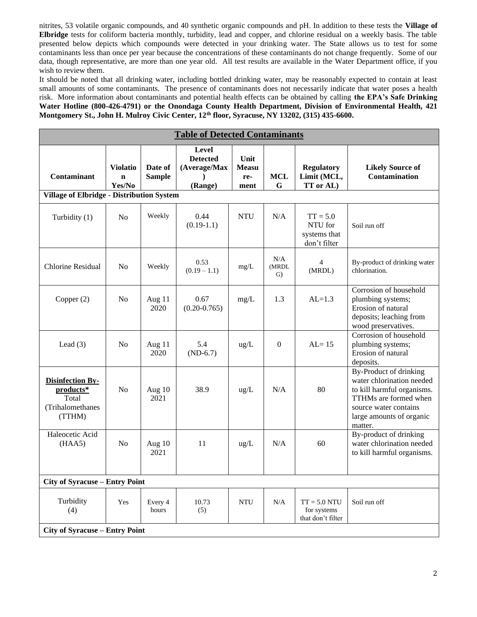nitrites, 53 volatile organic compounds, and 40 synthetic organic compounds and pH. In addition to these tests the **Village of Elbridge** tests for coliform bacteria monthly, turbidity, lead and copper, and chlorine residual on a weekly basis. The table presented below depicts which compounds were detected in your drinking water. The State allows us to test for some contaminants less than once per year because the concentrations of these contaminants do not change frequently. Some of our data, though representative, are more than one year old. All test results are available in the Water Department office, if you wish to review them.

It should be noted that all drinking water, including bottled drinking water, may be reasonably expected to contain at least small amounts of some contaminants. The presence of contaminants does not necessarily indicate that water poses a health risk. More information about contaminants and potential health effects can be obtained by calling **the EPA's Safe Drinking Water Hotline (800-426-4791) or the Onondaga County Health Department, Division of Environmental Health, 421 Montgomery St., John H. Mulroy Civic Center, 12th floor, Syracuse, NY 13202, (315) 435-6600.**

| <b>Table of Detected Contaminants</b>                                        |                                          |                          |                                                            |                                     |                    |                                                       |                                                                                                                                                                            |  |  |  |  |  |
|------------------------------------------------------------------------------|------------------------------------------|--------------------------|------------------------------------------------------------|-------------------------------------|--------------------|-------------------------------------------------------|----------------------------------------------------------------------------------------------------------------------------------------------------------------------------|--|--|--|--|--|
| <b>Contaminant</b>                                                           | <b>Violatio</b><br>$\mathbf n$<br>Yes/No | Date of<br><b>Sample</b> | <b>Level</b><br><b>Detected</b><br>(Average/Max<br>(Range) | Unit<br><b>Measu</b><br>re-<br>ment | <b>MCL</b><br>G    | <b>Regulatory</b><br>Limit (MCL,<br>TT or AL)         | <b>Likely Source of</b><br><b>Contamination</b>                                                                                                                            |  |  |  |  |  |
| <b>Village of Elbridge - Distribution System</b>                             |                                          |                          |                                                            |                                     |                    |                                                       |                                                                                                                                                                            |  |  |  |  |  |
| Turbidity (1)                                                                | N <sub>o</sub>                           | Weekly                   | 0.44<br>$(0.19-1.1)$                                       | <b>NTU</b>                          | N/A                | $TT = 5.0$<br>NTU for<br>systems that<br>don't filter | Soil run off                                                                                                                                                               |  |  |  |  |  |
| Chlorine Residual                                                            | N <sub>0</sub>                           | Weekly                   | 0.53<br>$(0.19 - 1.1)$                                     | mg/L                                | N/A<br>(MRDL<br>G) | $\overline{4}$<br>(MRDL)                              | By-product of drinking water<br>chlorination.                                                                                                                              |  |  |  |  |  |
| Copper (2)                                                                   | N <sub>0</sub>                           | Aug 11<br>2020           | 0.67<br>$(0.20 - 0.765)$                                   | mg/L                                | 1.3                | $AL=1.3$                                              | Corrosion of household<br>plumbing systems;<br>Erosion of natural<br>deposits; leaching from<br>wood preservatives.                                                        |  |  |  |  |  |
| Lead $(3)$                                                                   | N <sub>0</sub>                           | Aug 11<br>2020           | 5.4<br>$(ND-6.7)$                                          | $\text{ug/L}$                       | $\mathbf{0}$       | $AL = 15$                                             | Corrosion of household<br>plumbing systems;<br>Erosion of natural<br>deposits.                                                                                             |  |  |  |  |  |
| <b>Disinfection By-</b><br>products*<br>Total<br>(Trihalomethanes)<br>(TTHM) | N <sub>o</sub>                           | Aug 10<br>2021           | 38.9                                                       | $\text{ug/L}$                       | N/A                | 80                                                    | By-Product of drinking<br>water chlorination needed<br>to kill harmful organisms.<br>TTHMs are formed when<br>source water contains<br>large amounts of organic<br>matter. |  |  |  |  |  |
| Haleocetic Acid<br>(HAA5)                                                    | N <sub>0</sub>                           | Aug 10<br>2021           | 11                                                         | $\text{ug/L}$                       | N/A                | 60                                                    | By-product of drinking<br>water chlorination needed<br>to kill harmful organisms.                                                                                          |  |  |  |  |  |
| <b>City of Syracuse – Entry Point</b>                                        |                                          |                          |                                                            |                                     |                    |                                                       |                                                                                                                                                                            |  |  |  |  |  |
| Turbidity<br>(4)                                                             | Yes                                      | Every 4<br>hours         | 10.73<br>(5)                                               | <b>NTU</b>                          | N/A                | $TT = 5.0 NTU$<br>for systems<br>that don't filter    | Soil run off                                                                                                                                                               |  |  |  |  |  |
| <b>City of Syracuse – Entry Point</b>                                        |                                          |                          |                                                            |                                     |                    |                                                       |                                                                                                                                                                            |  |  |  |  |  |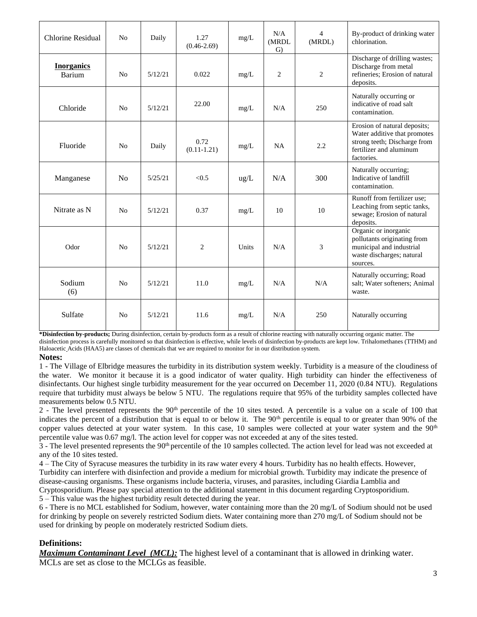| Chlorine Residual           | N <sub>0</sub> | Daily   | 1.27<br>$(0.46 - 2.69)$ | mg/L          | N/A<br>(MRDL<br>$\mathrm{G}$ | $\overline{\mathcal{L}}$<br>(MRDL) | By-product of drinking water<br>chlorination.                                                                                         |
|-----------------------------|----------------|---------|-------------------------|---------------|------------------------------|------------------------------------|---------------------------------------------------------------------------------------------------------------------------------------|
| <b>Inorganics</b><br>Barium | N <sub>o</sub> | 5/12/21 | 0.022                   | mg/L          | $\overline{c}$               | $\overline{2}$                     | Discharge of drilling wastes;<br>Discharge from metal<br>refineries; Erosion of natural<br>deposits.                                  |
| Chloride                    | N <sub>o</sub> | 5/12/21 | 22.00                   | mg/L          | N/A                          | 250                                | Naturally occurring or<br>indicative of road salt<br>contamination.                                                                   |
| Fluoride                    | No             | Daily   | 0.72<br>$(0.11 - 1.21)$ | mg/L          | <b>NA</b>                    | 2.2                                | Erosion of natural deposits;<br>Water additive that promotes<br>strong teeth; Discharge from<br>fertilizer and aluminum<br>factories. |
| Manganese                   | N <sub>o</sub> | 5/25/21 | < 0.5                   | $\text{ug/L}$ | N/A                          | 300                                | Naturally occurring;<br>Indicative of landfill<br>contamination.                                                                      |
| Nitrate as N                | N <sub>0</sub> | 5/12/21 | 0.37                    | mg/L          | 10                           | 10                                 | Runoff from fertilizer use;<br>Leaching from septic tanks,<br>sewage; Erosion of natural<br>deposits.                                 |
| Odor                        | N <sub>0</sub> | 5/12/21 | 2                       | Units         | N/A                          | 3                                  | Organic or inorganic<br>pollutants originating from<br>municipal and industrial<br>waste discharges; natural<br>sources.              |
| Sodium<br>(6)               | N <sub>0</sub> | 5/12/21 | 11.0                    | mg/L          | N/A                          | N/A                                | Naturally occurring; Road<br>salt; Water softeners; Animal<br>waste.                                                                  |
| Sulfate                     | N <sub>0</sub> | 5/12/21 | 11.6                    | mg/L          | N/A                          | 250                                | Naturally occurring                                                                                                                   |

**\*Disinfection by-products;** During disinfection, certain by-products form as a result of chlorine reacting with naturally occurring organic matter. The

disinfection process is carefully monitored so that disinfection is effective, while levels of disinfection by-products are kept low. Trihalomethanes (TTHM) and Haloacetic Acids (HAA5) are classes of chemicals that we are required to monitor for in our distribution system.

#### **Notes:**

1 - The Village of Elbridge measures the turbidity in its distribution system weekly. Turbidity is a measure of the cloudiness of the water. We monitor it because it is a good indicator of water quality. High turbidity can hinder the effectiveness of disinfectants. Our highest single turbidity measurement for the year occurred on December 11, 2020 (0.84 NTU). Regulations require that turbidity must always be below 5 NTU. The regulations require that 95% of the turbidity samples collected have measurements below 0.5 NTU.

2 - The level presented represents the  $90<sup>th</sup>$  percentile of the 10 sites tested. A percentile is a value on a scale of 100 that indicates the percent of a distribution that is equal to or below it. The  $90<sup>th</sup>$  percentile is equal to or greater than  $90\%$  of the copper values detected at your water system. In this case, 10 samples were collected at your water system and the  $90<sup>th</sup>$ percentile value was 0.67 mg/l. The action level for copper was not exceeded at any of the sites tested.

3 - The level presented represents the 90<sup>th</sup> percentile of the 10 samples collected. The action level for lead was not exceeded at any of the 10 sites tested.

4 – The City of Syracuse measures the turbidity in its raw water every 4 hours. Turbidity has no health effects. However, Turbidity can interfere with disinfection and provide a medium for microbial growth. Turbidity may indicate the presence of disease-causing organisms. These organisms include bacteria, viruses, and parasites, including Giardia Lamblia and Cryptosporidium. Please pay special attention to the additional statement in this document regarding Cryptosporidium.

5 – This value was the highest turbidity result detected during the year.

6 - There is no MCL established for Sodium, however, water containing more than the 20 mg/L of Sodium should not be used for drinking by people on severely restricted Sodium diets. Water containing more than 270 mg/L of Sodium should not be used for drinking by people on moderately restricted Sodium diets.

#### **Definitions:**

*Maximum Contaminant Level (MCL):* The highest level of a contaminant that is allowed in drinking water. MCLs are set as close to the MCLGs as feasible.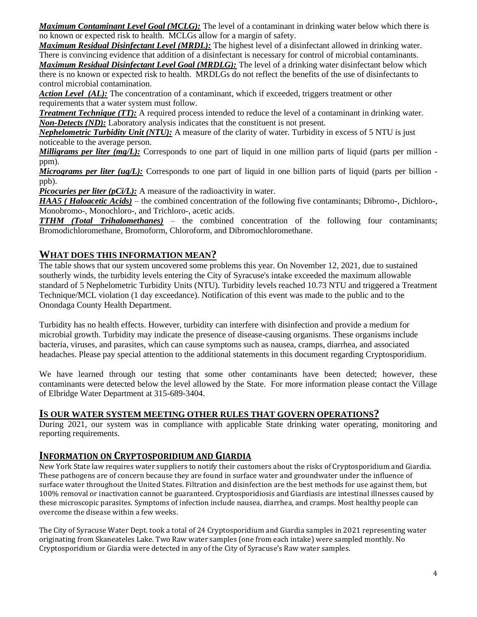*Maximum Contaminant Level Goal (MCLG):* The level of a contaminant in drinking water below which there is no known or expected risk to health. MCLGs allow for a margin of safety.

*Maximum Residual Disinfectant Level (MRDL):* The highest level of a disinfectant allowed in drinking water. There is convincing evidence that addition of a disinfectant is necessary for control of microbial contaminants. *Maximum Residual Disinfectant Level Goal (MRDLG):* The level of a drinking water disinfectant below which there is no known or expected risk to health. MRDLGs do not reflect the benefits of the use of disinfectants to control microbial contamination.

*Action Level (AL):* The concentration of a contaminant, which if exceeded, triggers treatment or other requirements that a water system must follow.

*Treatment Technique (TT):* A required process intended to reduce the level of a contaminant in drinking water. *Non-Detects (ND):* Laboratory analysis indicates that the constituent is not present.

*Nephelometric Turbidity Unit (NTU):* A measure of the clarity of water. Turbidity in excess of 5 NTU is just noticeable to the average person.

*Milligrams per liter (mg/L):* Corresponds to one part of liquid in one million parts of liquid (parts per million ppm).

*Micrograms per liter (ug/L):* Corresponds to one part of liquid in one billion parts of liquid (parts per billion ppb).

*Picocuries per liter (pCi/L):* A measure of the radioactivity in water.

*HAA5 ( Haloacetic Acids)* – the combined concentration of the following five contaminants; Dibromo-, Dichloro-, Monobromo-, Monochloro-, and Trichloro-, acetic acids.

*TTHM (Total Trihalomethanes)* – the combined concentration of the following four contaminants; Bromodichloromethane, Bromoform, Chloroform, and Dibromochloromethane.

## **WHAT DOES THIS INFORMATION MEAN?**

The table shows that our system uncovered some problems this year. On November 12, 2021, due to sustained southerly winds, the turbidity levels entering the City of Syracuse's intake exceeded the maximum allowable standard of 5 Nephelometric Turbidity Units (NTU). Turbidity levels reached 10.73 NTU and triggered a Treatment Technique/MCL violation (1 day exceedance). Notification of this event was made to the public and to the Onondaga County Health Department.

Turbidity has no health effects. However, turbidity can interfere with disinfection and provide a medium for microbial growth. Turbidity may indicate the presence of disease-causing organisms. These organisms include bacteria, viruses, and parasites, which can cause symptoms such as nausea, cramps, diarrhea, and associated headaches. Please pay special attention to the additional statements in this document regarding Cryptosporidium.

We have learned through our testing that some other contaminants have been detected; however, these contaminants were detected below the level allowed by the State. For more information please contact the Village of Elbridge Water Department at 315-689-3404.

### **IS OUR WATER SYSTEM MEETING OTHER RULES THAT GOVERN OPERATIONS?**

During 2021, our system was in compliance with applicable State drinking water operating, monitoring and reporting requirements.

## **INFORMATION ON CRYPTOSPORIDIUM AND GIARDIA**

New York State law requires water suppliers to notify their customers about the risks of Cryptosporidium and Giardia. These pathogens are of concern because they are found in surface water and groundwater under the influence of surface water throughout the United States. Filtration and disinfection are the best methods for use against them, but 100% removal or inactivation cannot be guaranteed. Cryptosporidiosis and Giardiasis are intestinal illnesses caused by these microscopic parasites. Symptoms of infection include nausea, diarrhea, and cramps. Most healthy people can overcome the disease within a few weeks.

The City of Syracuse Water Dept. took a total of 24 Cryptosporidium and Giardia samples in 2021 representing water originating from Skaneateles Lake. Two Raw water samples (one from each intake) were sampled monthly. No Cryptosporidium or Giardia were detected in any of the City of Syracuse's Raw water samples.